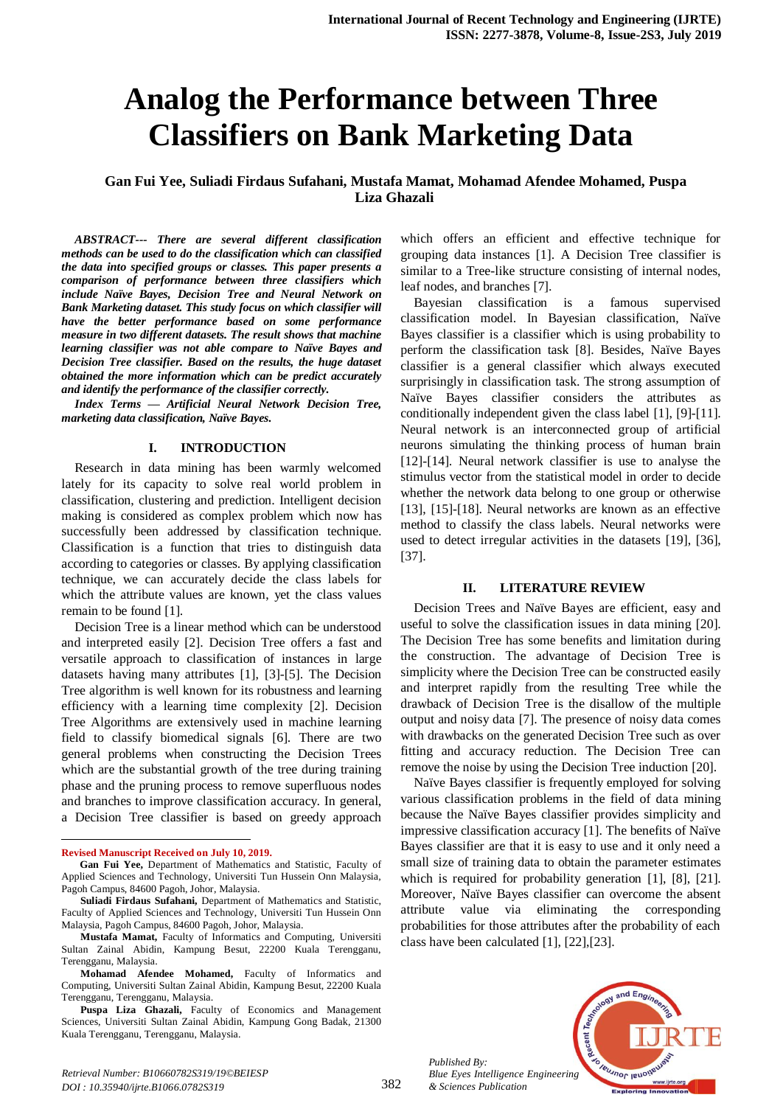# **Analog the Performance between Three Classifiers on Bank Marketing Data**

# **Gan Fui Yee, Suliadi Firdaus Sufahani, Mustafa Mamat, Mohamad Afendee Mohamed, Puspa Liza Ghazali**

*ABSTRACT--- There are several different classification methods can be used to do the classification which can classified the data into specified groups or classes. This paper presents a comparison of performance between three classifiers which include Naïve Bayes, Decision Tree and Neural Network on Bank Marketing dataset. This study focus on which classifier will have the better performance based on some performance measure in two different datasets. The result shows that machine learning classifier was not able compare to Naïve Bayes and Decision Tree classifier. Based on the results, the huge dataset obtained the more information which can be predict accurately and identify the performance of the classifier correctly.*

*Index Terms — Artificial Neural Network Decision Tree, marketing data classification, Naïve Bayes.*

## **I. INTRODUCTION**

Research in data mining has been warmly welcomed lately for its capacity to solve real world problem in classification, clustering and prediction. Intelligent decision making is considered as complex problem which now has successfully been addressed by classification technique. Classification is a function that tries to distinguish data according to categories or classes. By applying classification technique, we can accurately decide the class labels for which the attribute values are known, yet the class values remain to be found [1].

Decision Tree is a linear method which can be understood and interpreted easily [2]. Decision Tree offers a fast and versatile approach to classification of instances in large datasets having many attributes [1], [3]-[5]. The Decision Tree algorithm is well known for its robustness and learning efficiency with a learning time complexity [2]. Decision Tree Algorithms are extensively used in machine learning field to classify biomedical signals [6]. There are two general problems when constructing the Decision Trees which are the substantial growth of the tree during training phase and the pruning process to remove superfluous nodes and branches to improve classification accuracy. In general, a Decision Tree classifier is based on greedy approach

 $\overline{a}$ 

which offers an efficient and effective technique for grouping data instances [1]. A Decision Tree classifier is similar to a Tree-like structure consisting of internal nodes, leaf nodes, and branches [7].

Bayesian classification is a famous supervised classification model. In Bayesian classification, Naïve Bayes classifier is a classifier which is using probability to perform the classification task [8]. Besides, Naïve Bayes classifier is a general classifier which always executed surprisingly in classification task. The strong assumption of Naïve Bayes classifier considers the attributes as conditionally independent given the class label [1], [9]-[11]. Neural network is an interconnected group of artificial neurons simulating the thinking process of human brain [12]-[14]. Neural network classifier is use to analyse the stimulus vector from the statistical model in order to decide whether the network data belong to one group or otherwise [13], [15]-[18]. Neural networks are known as an effective method to classify the class labels. Neural networks were used to detect irregular activities in the datasets [19], [36], [37].

#### **II. LITERATURE REVIEW**

Decision Trees and Naïve Bayes are efficient, easy and useful to solve the classification issues in data mining [20]. The Decision Tree has some benefits and limitation during the construction. The advantage of Decision Tree is simplicity where the Decision Tree can be constructed easily and interpret rapidly from the resulting Tree while the drawback of Decision Tree is the disallow of the multiple output and noisy data [7]. The presence of noisy data comes with drawbacks on the generated Decision Tree such as over fitting and accuracy reduction. The Decision Tree can remove the noise by using the Decision Tree induction [20].

Naïve Bayes classifier is frequently employed for solving various classification problems in the field of data mining because the Naïve Bayes classifier provides simplicity and impressive classification accuracy [1]. The benefits of Naïve Bayes classifier are that it is easy to use and it only need a small size of training data to obtain the parameter estimates which is required for probability generation [1], [8], [21]. Moreover, Naïve Bayes classifier can overcome the absent attribute value via eliminating the corresponding probabilities for those attributes after the probability of each class have been calculated [1], [22],[23].

*Published By: Blue Eyes Intelligence Engineering & Sciences Publication* 



**Revised Manuscript Received on July 10, 2019.**

**Gan Fui Yee,** Department of Mathematics and Statistic, Faculty of Applied Sciences and Technology, Universiti Tun Hussein Onn Malaysia, Pagoh Campus, 84600 Pagoh, Johor, Malaysia.

**Suliadi Firdaus Sufahani,** Department of Mathematics and Statistic, Faculty of Applied Sciences and Technology, Universiti Tun Hussein Onn Malaysia, Pagoh Campus, 84600 Pagoh, Johor, Malaysia.

**Mustafa Mamat,** Faculty of Informatics and Computing, Universiti Sultan Zainal Abidin, Kampung Besut, 22200 Kuala Terengganu, Terengganu, Malaysia.

**Mohamad Afendee Mohamed,** Faculty of Informatics and Computing, Universiti Sultan Zainal Abidin, Kampung Besut, 22200 Kuala Terengganu, Terengganu, Malaysia.

**Puspa Liza Ghazali,** Faculty of Economics and Management Sciences, Universiti Sultan Zainal Abidin, Kampung Gong Badak, 21300 Kuala Terengganu, Terengganu, Malaysia.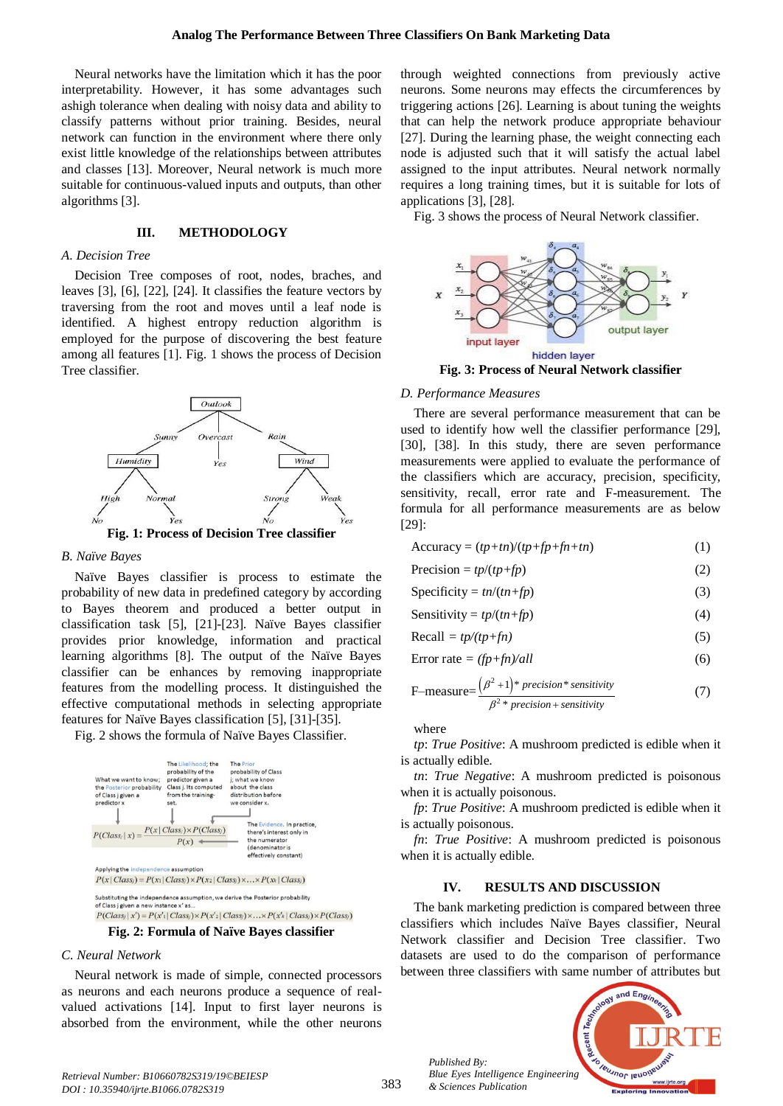Neural networks have the limitation which it has the poor interpretability. However, it has some advantages such ashigh tolerance when dealing with noisy data and ability to classify patterns without prior training. Besides, neural network can function in the environment where there only exist little knowledge of the relationships between attributes and classes [13]. Moreover, Neural network is much more suitable for continuous-valued inputs and outputs, than other algorithms [3].

# **III. METHODOLOGY**

## *A. Decision Tree*

Decision Tree composes of root, nodes, braches, and leaves [3], [6], [22], [24]. It classifies the feature vectors by traversing from the root and moves until a leaf node is identified. A highest entropy reduction algorithm is employed for the purpose of discovering the best feature among all features [1]. Fig. 1 shows the process of Decision Tree classifier.



**Fig. 1: Process of Decision Tree classifier**

## *B. Naïve Bayes*

Naïve Bayes classifier is process to estimate the probability of new data in predefined category by according to Bayes theorem and produced a better output in classification task [5], [21]-[23]. Naïve Bayes classifier provides prior knowledge, information and practical learning algorithms [8]. The output of the Naïve Bayes classifier can be enhances by removing inappropriate features from the modelling process. It distinguished the effective computational methods in selecting appropriate features for Naïve Bayes classification [5], [31]-[35].

Fig. 2 shows the formula of Naïve Bayes Classifier.



**Fig. 2: Formula of Naïve Bayes classifier**

#### *C. Neural Network*

Neural network is made of simple, connected processors as neurons and each neurons produce a sequence of realvalued activations [14]. Input to first layer neurons is absorbed from the environment, while the other neurons

through weighted connections from previously active neurons. Some neurons may effects the circumferences by triggering actions [26]. Learning is about tuning the weights that can help the network produce appropriate behaviour [27]. During the learning phase, the weight connecting each node is adjusted such that it will satisfy the actual label assigned to the input attributes. Neural network normally requires a long training times, but it is suitable for lots of applications [3], [28].

Fig. 3 shows the process of Neural Network classifier.



## *D. Performance Measures*

There are several performance measurement that can be used to identify how well the classifier performance [29], [30], [38]. In this study, there are seven performance measurements were applied to evaluate the performance of the classifiers which are accuracy, precision, specificity, sensitivity, recall, error rate and F-measurement. The formula for all performance measurements are as below [29]:

$$
Accuracy = (tp+tn)/(tp+fp+fn+tn)
$$
 (1)

 $Precision = tp/(tp + fp)$  (2)

$$
Specificity = tn/(tn+fp)
$$
 (3)

$$
Sensitivity = tp/(tn+fp)
$$
 (4)

$$
Recall = tp/(tp+fn)
$$
 (5)

$$
Error rate = (fp + fn)/all
$$
 (6)

F-measure=
$$
\frac{(\beta^2+1)^* precision * sensitivity}{\beta^2 * precision + sensitivity}
$$
 (7)

where

*tp*: *True Positive*: A mushroom predicted is edible when it is actually edible.

*tn*: *True Negative*: A mushroom predicted is poisonous when it is actually poisonous.

*fp*: *True Positive*: A mushroom predicted is edible when it is actually poisonous.

*fn*: *True Positive*: A mushroom predicted is poisonous when it is actually edible.

#### **IV. RESULTS AND DISCUSSION**

The bank marketing prediction is compared between three classifiers which includes Naïve Bayes classifier, Neural Network classifier and Decision Tree classifier. Two datasets are used to do the comparison of performance between three classifiers with same number of attributes but



*Published By:*

*& Sciences Publication*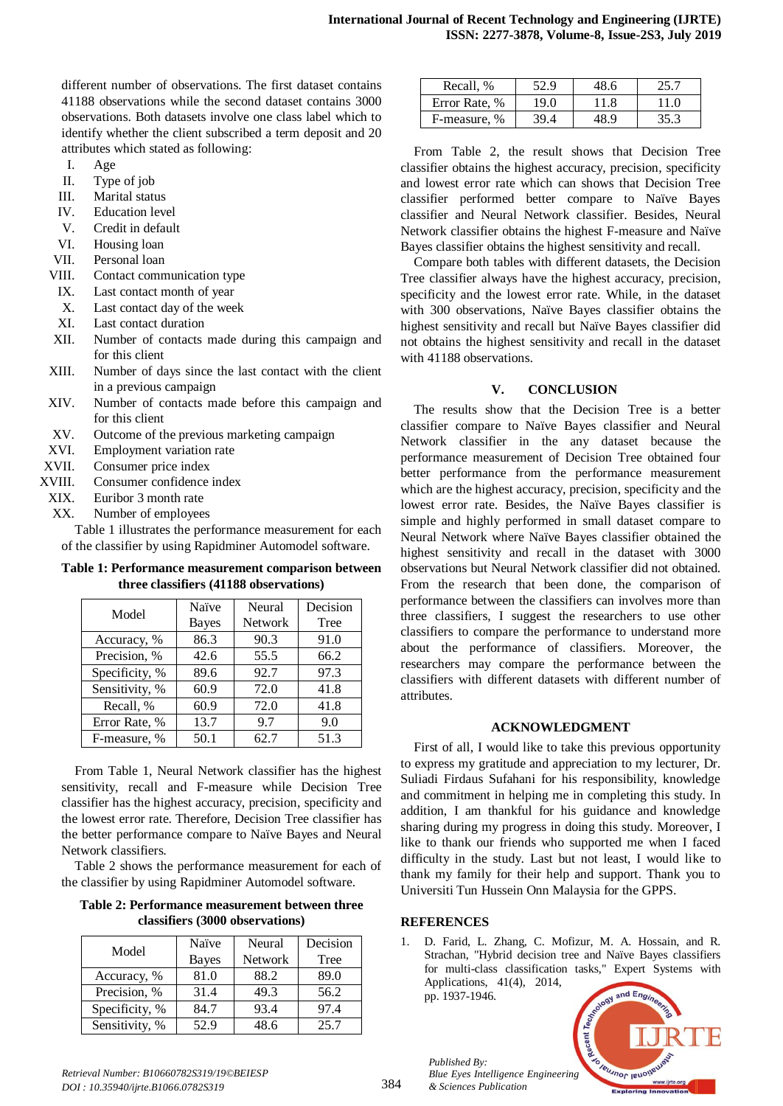different number of observations. The first dataset contains 41188 observations while the second dataset contains 3000 observations. Both datasets involve one class label which to identify whether the client subscribed a term deposit and 20 attributes which stated as following:

- I. Age
- II. Type of job
- III. Marital status
- IV. Education level
- V. Credit in default
- VI. Housing loan
- VII. Personal loan
- VIII. Contact communication type
- IX. Last contact month of year
- X. Last contact day of the week
- XI. Last contact duration
- XII. Number of contacts made during this campaign and for this client
- XIII. Number of days since the last contact with the client in a previous campaign
- XIV. Number of contacts made before this campaign and for this client
- XV. Outcome of the previous marketing campaign
- XVI. Employment variation rate
- XVII. Consumer price index
- XVIII. Consumer confidence index
- XIX. Euribor 3 month rate
- XX. Number of employees

Table 1 illustrates the performance measurement for each of the classifier by using Rapidminer Automodel software.

**Table 1: Performance measurement comparison between three classifiers (41188 observations)**

| Model          | Naïve        | Neural         | Decision |
|----------------|--------------|----------------|----------|
|                | <b>Bayes</b> | <b>Network</b> | Tree     |
| Accuracy, %    | 86.3         | 90.3           | 91.0     |
| Precision, %   | 42.6         | 55.5           | 66.2     |
| Specificity, % | 89.6         | 92.7           | 97.3     |
| Sensitivity, % | 60.9         | 72.0           | 41.8     |
| Recall, %      | 60.9         | 72.0           | 41.8     |
| Error Rate, %  | 13.7         | 9.7            | 9.0      |
| F-measure, %   | 50.1         | 62.7           | 51.3     |

From Table 1, Neural Network classifier has the highest sensitivity, recall and F-measure while Decision Tree classifier has the highest accuracy, precision, specificity and the lowest error rate. Therefore, Decision Tree classifier has the better performance compare to Naïve Bayes and Neural Network classifiers.

Table 2 shows the performance measurement for each of the classifier by using Rapidminer Automodel software.

**Table 2: Performance measurement between three classifiers (3000 observations)**

| Model          | Naïve        | Neural         | Decision |
|----------------|--------------|----------------|----------|
|                | <b>Bayes</b> | <b>Network</b> | Tree     |
| Accuracy, %    | 81.0         | 88.2           | 89.0     |
| Precision, %   | 31.4         | 49.3           | 56.2     |
| Specificity, % | 84.7         | 93.4           | 97.4     |
| Sensitivity, % | 52.9         | 48.6           | 25.7     |

| Recall, %     | 52.9 | 48.6 | 25.7 |
|---------------|------|------|------|
| Error Rate, % | 19.0 | 11.8 | 11.0 |
| F-measure, %  | 39.4 | 48 9 | 35.3 |

From Table 2, the result shows that Decision Tree classifier obtains the highest accuracy, precision, specificity and lowest error rate which can shows that Decision Tree classifier performed better compare to Naïve Bayes classifier and Neural Network classifier. Besides, Neural Network classifier obtains the highest F-measure and Naïve Bayes classifier obtains the highest sensitivity and recall.

Compare both tables with different datasets, the Decision Tree classifier always have the highest accuracy, precision, specificity and the lowest error rate. While, in the dataset with 300 observations, Naïve Bayes classifier obtains the highest sensitivity and recall but Naïve Bayes classifier did not obtains the highest sensitivity and recall in the dataset with 41188 observations.

# **V. CONCLUSION**

The results show that the Decision Tree is a better classifier compare to Naïve Bayes classifier and Neural Network classifier in the any dataset because the performance measurement of Decision Tree obtained four better performance from the performance measurement which are the highest accuracy, precision, specificity and the lowest error rate. Besides, the Naïve Bayes classifier is simple and highly performed in small dataset compare to Neural Network where Naïve Bayes classifier obtained the highest sensitivity and recall in the dataset with 3000 observations but Neural Network classifier did not obtained. From the research that been done, the comparison of performance between the classifiers can involves more than three classifiers, I suggest the researchers to use other classifiers to compare the performance to understand more about the performance of classifiers. Moreover, the researchers may compare the performance between the classifiers with different datasets with different number of attributes.

## **ACKNOWLEDGMENT**

First of all, I would like to take this previous opportunity to express my gratitude and appreciation to my lecturer, Dr. Suliadi Firdaus Sufahani for his responsibility, knowledge and commitment in helping me in completing this study. In addition, I am thankful for his guidance and knowledge sharing during my progress in doing this study. Moreover, I like to thank our friends who supported me when I faced difficulty in the study. Last but not least, I would like to thank my family for their help and support. Thank you to Universiti Tun Hussein Onn Malaysia for the GPPS.

# **REFERENCES**

*Published By:*

*& Sciences Publication* 

1. D. Farid, L. Zhang, C. Mofizur, M. A. Hossain, and R. Strachan, "Hybrid decision tree and Naïve Bayes classifiers for multi-class classification tasks," Expert Systems with Applications, 41(4), 2014, pp. 1937-1946.

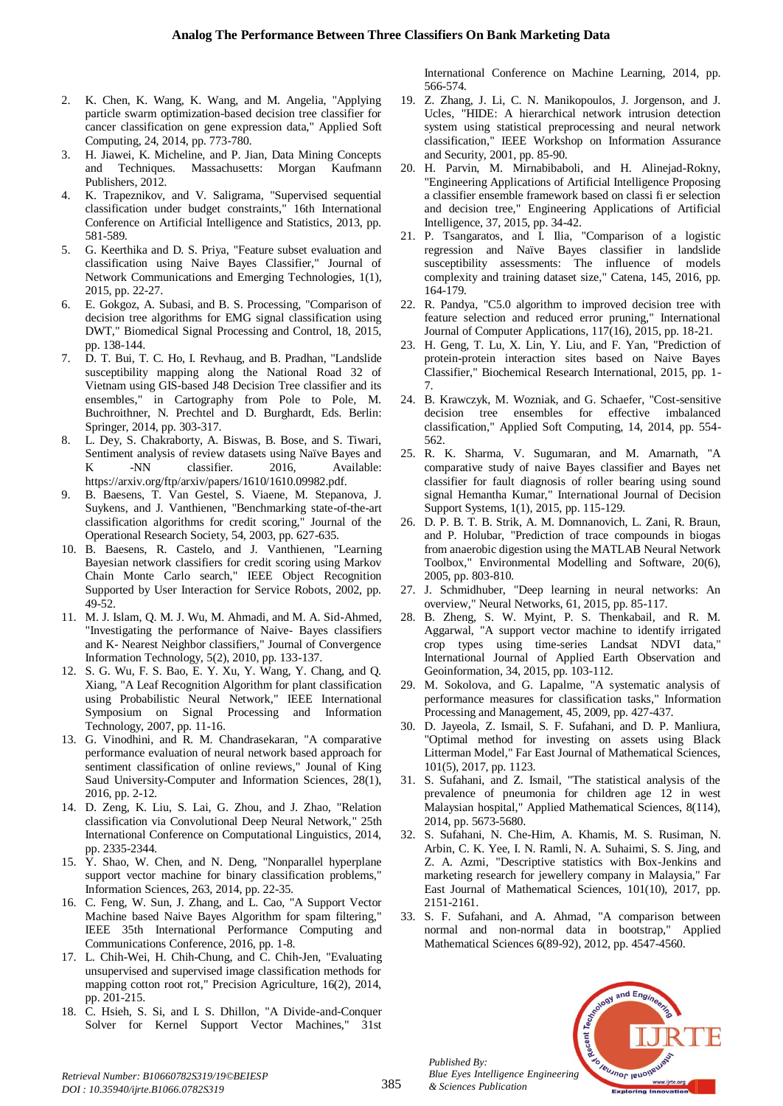- 2. K. Chen, K. Wang, K. Wang, and M. Angelia, "Applying particle swarm optimization-based decision tree classifier for cancer classification on gene expression data," Applied Soft Computing, 24, 2014, pp. 773-780.
- 3. H. Jiawei, K. Micheline, and P. Jian, Data Mining Concepts and Techniques. Massachusetts: Morgan Kaufmann Publishers, 2012.
- 4. K. Trapeznikov, and V. Saligrama, "Supervised sequential classification under budget constraints," 16th International Conference on Artificial Intelligence and Statistics, 2013, pp. 581-589.
- 5. G. Keerthika and D. S. Priya, "Feature subset evaluation and classification using Naive Bayes Classifier," Journal of Network Communications and Emerging Technologies, 1(1), 2015, pp. 22-27.
- 6. E. Gokgoz, A. Subasi, and B. S. Processing, "Comparison of decision tree algorithms for EMG signal classification using DWT," Biomedical Signal Processing and Control, 18, 2015, pp. 138-144.
- 7. D. T. Bui, T. C. Ho, I. Revhaug, and B. Pradhan, "Landslide susceptibility mapping along the National Road 32 of Vietnam using GIS-based J48 Decision Tree classifier and its ensembles," in Cartography from Pole to Pole, M. Buchroithner, N. Prechtel and D. Burghardt, Eds. Berlin: Springer, 2014, pp. 303-317.
- 8. L. Dey, S. Chakraborty, A. Biswas, B. Bose, and S. Tiwari, Sentiment analysis of review datasets using Naïve Bayes and K -NN classifier. 2016, Available: https://arxiv.org/ftp/arxiv/papers/1610/1610.09982.pdf.
- 9. B. Baesens, T. Van Gestel, S. Viaene, M. Stepanova, J. Suykens, and J. Vanthienen, "Benchmarking state-of-the-art classification algorithms for credit scoring," Journal of the Operational Research Society, 54, 2003, pp. 627-635.
- 10. B. Baesens, R. Castelo, and J. Vanthienen, "Learning Bayesian network classifiers for credit scoring using Markov Chain Monte Carlo search," IEEE Object Recognition Supported by User Interaction for Service Robots, 2002, pp. 49-52.
- 11. M. J. Islam, Q. M. J. Wu, M. Ahmadi, and M. A. Sid-Ahmed, "Investigating the performance of Naive- Bayes classifiers and K- Nearest Neighbor classifiers," Journal of Convergence Information Technology, 5(2), 2010, pp. 133-137.
- 12. S. G. Wu, F. S. Bao, E. Y. Xu, Y. Wang, Y. Chang, and Q. Xiang, "A Leaf Recognition Algorithm for plant classification using Probabilistic Neural Network," IEEE International Symposium on Signal Processing and Information Technology, 2007, pp. 11-16.
- 13. G. Vinodhini, and R. M. Chandrasekaran, "A comparative performance evaluation of neural network based approach for sentiment classification of online reviews," Jounal of King Saud University-Computer and Information Sciences, 28(1), 2016, pp. 2-12.
- 14. D. Zeng, K. Liu, S. Lai, G. Zhou, and J. Zhao, "Relation classification via Convolutional Deep Neural Network," 25th International Conference on Computational Linguistics, 2014, pp. 2335-2344.
- 15. Y. Shao, W. Chen, and N. Deng, "Nonparallel hyperplane support vector machine for binary classification problems," Information Sciences, 263, 2014, pp. 22-35.
- 16. C. Feng, W. Sun, J. Zhang, and L. Cao, "A Support Vector Machine based Naive Bayes Algorithm for spam filtering," IEEE 35th International Performance Computing and Communications Conference, 2016, pp. 1-8.
- 17. L. Chih-Wei, H. Chih-Chung, and C. Chih-Jen, "Evaluating unsupervised and supervised image classification methods for mapping cotton root rot," Precision Agriculture, 16(2), 2014, pp. 201-215.
- 18. C. Hsieh, S. Si, and I. S. Dhillon, "A Divide-and-Conquer Solver for Kernel Support Vector Machines," 31st

International Conference on Machine Learning, 2014, pp. 566-574.

- 19. Z. Zhang, J. Li, C. N. Manikopoulos, J. Jorgenson, and J. Ucles, "HIDE: A hierarchical network intrusion detection system using statistical preprocessing and neural network classification," IEEE Workshop on Information Assurance and Security, 2001, pp. 85-90.
- 20. H. Parvin, M. Mirnabibaboli, and H. Alinejad-Rokny, "Engineering Applications of Artificial Intelligence Proposing a classifier ensemble framework based on classi fi er selection and decision tree," Engineering Applications of Artificial Intelligence, 37, 2015, pp. 34-42.
- 21. P. Tsangaratos, and I. Ilia, "Comparison of a logistic regression and Naïve Bayes classifier in landslide susceptibility assessments: The influence of models complexity and training dataset size," Catena, 145, 2016, pp. 164-179.
- 22. R. Pandya, "C5.0 algorithm to improved decision tree with feature selection and reduced error pruning," International Journal of Computer Applications, 117(16), 2015, pp. 18-21.
- 23. H. Geng, T. Lu, X. Lin, Y. Liu, and F. Yan, "Prediction of protein-protein interaction sites based on Naive Bayes Classifier," Biochemical Research International, 2015, pp. 1- 7.
- 24. B. Krawczyk, M. Wozniak, and G. Schaefer, "Cost-sensitive decision tree ensembles for effective imbalanced classification," Applied Soft Computing, 14, 2014, pp. 554- 562.
- 25. R. K. Sharma, V. Sugumaran, and M. Amarnath, "A comparative study of naive Bayes classifier and Bayes net classifier for fault diagnosis of roller bearing using sound signal Hemantha Kumar," International Journal of Decision Support Systems, 1(1), 2015, pp. 115-129.
- 26. D. P. B. T. B. Strik, A. M. Domnanovich, L. Zani, R. Braun, and P. Holubar, "Prediction of trace compounds in biogas from anaerobic digestion using the MATLAB Neural Network Toolbox," Environmental Modelling and Software, 20(6), 2005, pp. 803-810.
- 27. J. Schmidhuber, "Deep learning in neural networks: An overview," Neural Networks, 61, 2015, pp. 85-117.
- 28. B. Zheng, S. W. Myint, P. S. Thenkabail, and R. M. Aggarwal, "A support vector machine to identify irrigated crop types using time-series Landsat NDVI data," International Journal of Applied Earth Observation and Geoinformation, 34, 2015, pp. 103-112.
- 29. M. Sokolova, and G. Lapalme, "A systematic analysis of performance measures for classification tasks," Information Processing and Management, 45, 2009, pp. 427-437.
- 30. D. Jayeola, Z. Ismail, S. F. Sufahani, and D. P. Manliura, "Optimal method for investing on assets using Black Litterman Model," Far East Journal of Mathematical Sciences, 101(5), 2017, pp. 1123.
- 31. S. Sufahani, and Z. Ismail, "The statistical analysis of the prevalence of pneumonia for children age 12 in west Malaysian hospital," Applied Mathematical Sciences, 8(114), 2014, pp. 5673-5680.
- 32. S. Sufahani, N. Che-Him, A. Khamis, M. S. Rusiman, N. Arbin, C. K. Yee, I. N. Ramli, N. A. Suhaimi, S. S. Jing, and Z. A. Azmi, "Descriptive statistics with Box-Jenkins and marketing research for jewellery company in Malaysia," Far East Journal of Mathematical Sciences, 101(10), 2017, pp. 2151-2161.
- 33. S. F. Sufahani, and A. Ahmad, "A comparison between normal and non-normal data in bootstrap," Applied Mathematical Sciences 6(89-92), 2012, pp. 4547-4560.



*Retrieval Number: B10660782S319/19©BEIESP DOI : 10.35940/ijrte.B1066.0782S319*

*Published By:*

*& Sciences Publication*